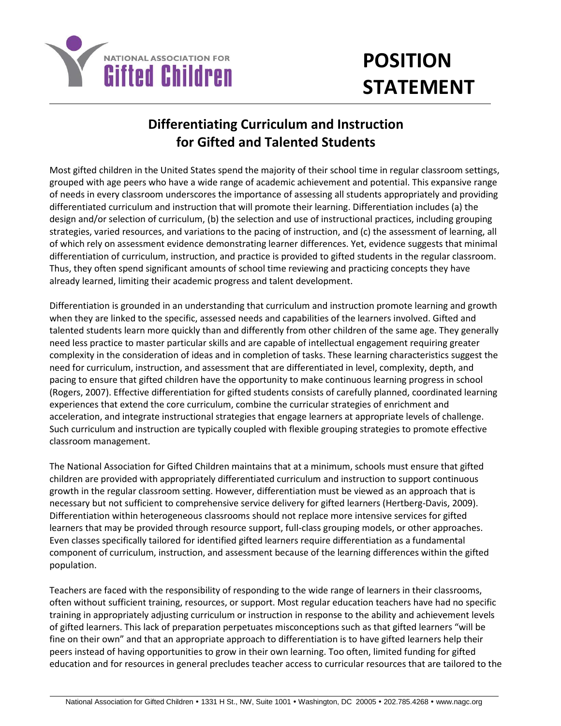

## **POSITION STATEMENT**

## **Differentiating Curriculum and Instruction for Gifted and Talented Students**

Most gifted children in the United States spend the majority of their school time in regular classroom settings, grouped with age peers who have a wide range of academic achievement and potential. This expansive range of needs in every classroom underscores the importance of assessing all students appropriately and providing differentiated curriculum and instruction that will promote their learning. Differentiation includes (a) the design and/or selection of curriculum, (b) the selection and use of instructional practices, including grouping strategies, varied resources, and variations to the pacing of instruction, and (c) the assessment of learning, all of which rely on assessment evidence demonstrating learner differences. Yet, evidence suggests that minimal differentiation of curriculum, instruction, and practice is provided to gifted students in the regular classroom. Thus, they often spend significant amounts of school time reviewing and practicing concepts they have already learned, limiting their academic progress and talent development.

Differentiation is grounded in an understanding that curriculum and instruction promote learning and growth when they are linked to the specific, assessed needs and capabilities of the learners involved. Gifted and talented students learn more quickly than and differently from other children of the same age. They generally need less practice to master particular skills and are capable of intellectual engagement requiring greater complexity in the consideration of ideas and in completion of tasks. These learning characteristics suggest the need for curriculum, instruction, and assessment that are differentiated in level, complexity, depth, and pacing to ensure that gifted children have the opportunity to make continuous learning progress in school (Rogers, 2007). Effective differentiation for gifted students consists of carefully planned, coordinated learning experiences that extend the core curriculum, combine the curricular strategies of enrichment and acceleration, and integrate instructional strategies that engage learners at appropriate levels of challenge. Such curriculum and instruction are typically coupled with flexible grouping strategies to promote effective classroom management.

The National Association for Gifted Children maintains that at a minimum, schools must ensure that gifted children are provided with appropriately differentiated curriculum and instruction to support continuous growth in the regular classroom setting. However, differentiation must be viewed as an approach that is necessary but not sufficient to comprehensive service delivery for gifted learners (Hertberg-Davis, 2009). Differentiation within heterogeneous classrooms should not replace more intensive services for gifted learners that may be provided through resource support, full-class grouping models, or other approaches. Even classes specifically tailored for identified gifted learners require differentiation as a fundamental component of curriculum, instruction, and assessment because of the learning differences within the gifted population.

Teachers are faced with the responsibility of responding to the wide range of learners in their classrooms, often without sufficient training, resources, or support. Most regular education teachers have had no specific training in appropriately adjusting curriculum or instruction in response to the ability and achievement levels of gifted learners. This lack of preparation perpetuates misconceptions such as that gifted learners "will be fine on their own" and that an appropriate approach to differentiation is to have gifted learners help their peers instead of having opportunities to grow in their own learning. Too often, limited funding for gifted education and for resources in general precludes teacher access to curricular resources that are tailored to the